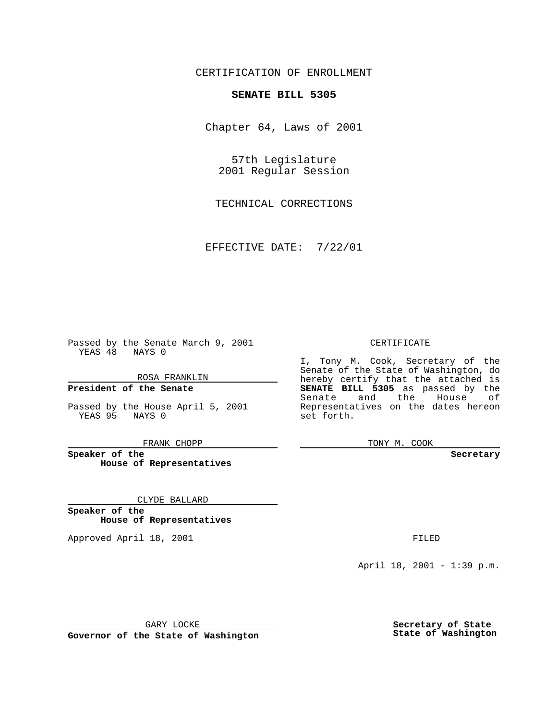CERTIFICATION OF ENROLLMENT

# **SENATE BILL 5305**

Chapter 64, Laws of 2001

57th Legislature 2001 Regular Session

TECHNICAL CORRECTIONS

EFFECTIVE DATE: 7/22/01

Passed by the Senate March 9, 2001 YEAS 48 NAYS 0

ROSA FRANKLIN

**President of the Senate**

Passed by the House April 5, 2001 YEAS 95 NAYS 0

FRANK CHOPP

**Speaker of the House of Representatives**

CLYDE BALLARD

**Speaker of the House of Representatives**

Approved April 18, 2001 **FILED** 

#### CERTIFICATE

I, Tony M. Cook, Secretary of the Senate of the State of Washington, do hereby certify that the attached is **SENATE BILL 5305** as passed by the Senate and the House of Representatives on the dates hereon set forth.

TONY M. COOK

#### **Secretary**

April 18, 2001 - 1:39 p.m.

GARY LOCKE

**Governor of the State of Washington**

**Secretary of State State of Washington**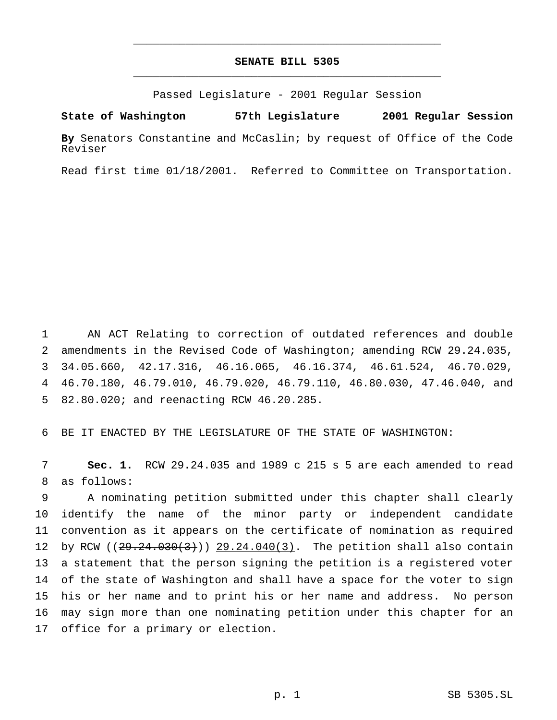## **SENATE BILL 5305** \_\_\_\_\_\_\_\_\_\_\_\_\_\_\_\_\_\_\_\_\_\_\_\_\_\_\_\_\_\_\_\_\_\_\_\_\_\_\_\_\_\_\_\_\_\_\_

\_\_\_\_\_\_\_\_\_\_\_\_\_\_\_\_\_\_\_\_\_\_\_\_\_\_\_\_\_\_\_\_\_\_\_\_\_\_\_\_\_\_\_\_\_\_\_

Passed Legislature - 2001 Regular Session

**State of Washington 57th Legislature 2001 Regular Session**

**By** Senators Constantine and McCaslin; by request of Office of the Code Reviser

Read first time 01/18/2001. Referred to Committee on Transportation.

 AN ACT Relating to correction of outdated references and double amendments in the Revised Code of Washington; amending RCW 29.24.035, 34.05.660, 42.17.316, 46.16.065, 46.16.374, 46.61.524, 46.70.029, 46.70.180, 46.79.010, 46.79.020, 46.79.110, 46.80.030, 47.46.040, and 82.80.020; and reenacting RCW 46.20.285.

BE IT ENACTED BY THE LEGISLATURE OF THE STATE OF WASHINGTON:

 **Sec. 1.** RCW 29.24.035 and 1989 c 215 s 5 are each amended to read as follows:

 A nominating petition submitted under this chapter shall clearly identify the name of the minor party or independent candidate convention as it appears on the certificate of nomination as required 12 by RCW  $(29.24.030(3))$  29.24.040(3). The petition shall also contain a statement that the person signing the petition is a registered voter of the state of Washington and shall have a space for the voter to sign his or her name and to print his or her name and address. No person may sign more than one nominating petition under this chapter for an office for a primary or election.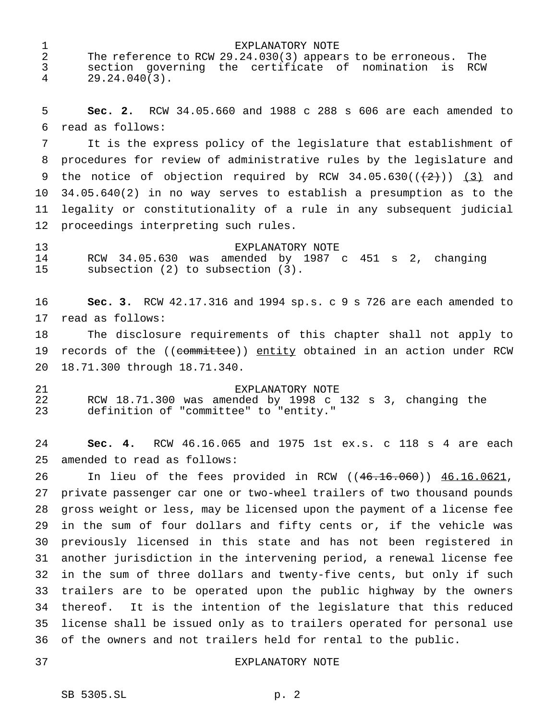1 EXPLANATORY NOTE<br>2 The reference to RCW 29.24.030(3) appear The reference to RCW 29.24.030(3) appears to be erroneous. The section governing the certificate of nomination is RCW 29.24.040(3).

 **Sec. 2.** RCW 34.05.660 and 1988 c 288 s 606 are each amended to read as follows:

 It is the express policy of the legislature that establishment of procedures for review of administrative rules by the legislature and 9 the notice of objection required by RCW  $34.05.630((\frac{2}{2})) (3)$  and 34.05.640(2) in no way serves to establish a presumption as to the legality or constitutionality of a rule in any subsequent judicial proceedings interpreting such rules.

 EXPLANATORY NOTE RCW 34.05.630 was amended by 1987 c 451 s 2, changing subsection (2) to subsection (3).

 **Sec. 3.** RCW 42.17.316 and 1994 sp.s. c 9 s 726 are each amended to read as follows:

 The disclosure requirements of this chapter shall not apply to 19 records of the ((committee)) entity obtained in an action under RCW 18.71.300 through 18.71.340.

 EXPLANATORY NOTE RCW 18.71.300 was amended by 1998 c 132 s 3, changing the definition of "committee" to "entity."

 **Sec. 4.** RCW 46.16.065 and 1975 1st ex.s. c 118 s 4 are each amended to read as follows:

 In lieu of the fees provided in RCW ((46.16.060)) 46.16.0621, private passenger car one or two-wheel trailers of two thousand pounds gross weight or less, may be licensed upon the payment of a license fee in the sum of four dollars and fifty cents or, if the vehicle was previously licensed in this state and has not been registered in another jurisdiction in the intervening period, a renewal license fee in the sum of three dollars and twenty-five cents, but only if such trailers are to be operated upon the public highway by the owners thereof. It is the intention of the legislature that this reduced license shall be issued only as to trailers operated for personal use of the owners and not trailers held for rental to the public.

### EXPLANATORY NOTE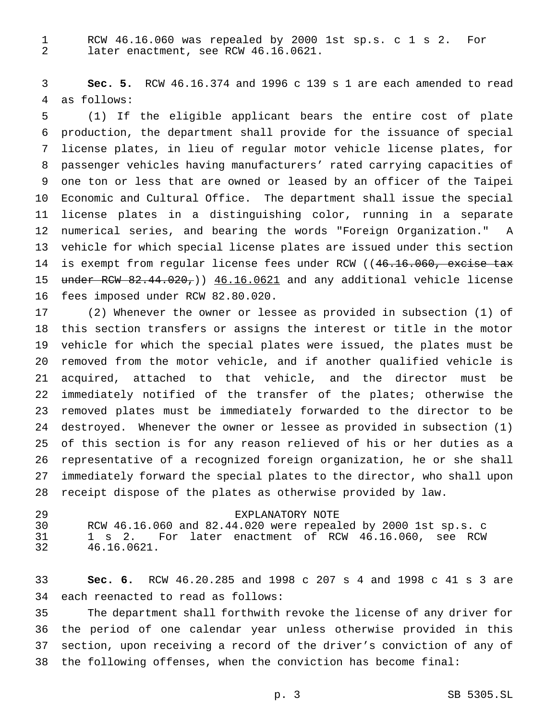RCW 46.16.060 was repealed by 2000 1st sp.s. c 1 s 2. For later enactment, see RCW 46.16.0621.

 **Sec. 5.** RCW 46.16.374 and 1996 c 139 s 1 are each amended to read as follows:

 (1) If the eligible applicant bears the entire cost of plate production, the department shall provide for the issuance of special license plates, in lieu of regular motor vehicle license plates, for passenger vehicles having manufacturers' rated carrying capacities of one ton or less that are owned or leased by an officer of the Taipei Economic and Cultural Office. The department shall issue the special license plates in a distinguishing color, running in a separate numerical series, and bearing the words "Foreign Organization." A vehicle for which special license plates are issued under this section 14 is exempt from regular license fees under RCW ((46.16.060, excise tax 15 under RCW 82.44.020,)) 46.16.0621 and any additional vehicle license fees imposed under RCW 82.80.020.

 (2) Whenever the owner or lessee as provided in subsection (1) of this section transfers or assigns the interest or title in the motor vehicle for which the special plates were issued, the plates must be removed from the motor vehicle, and if another qualified vehicle is acquired, attached to that vehicle, and the director must be immediately notified of the transfer of the plates; otherwise the removed plates must be immediately forwarded to the director to be destroyed. Whenever the owner or lessee as provided in subsection (1) of this section is for any reason relieved of his or her duties as a representative of a recognized foreign organization, he or she shall immediately forward the special plates to the director, who shall upon receipt dispose of the plates as otherwise provided by law.

 EXPLANATORY NOTE RCW 46.16.060 and 82.44.020 were repealed by 2000 1st sp.s. c 1 s 2. For later enactment of RCW 46.16.060, see RCW 46.16.0621.

 **Sec. 6.** RCW 46.20.285 and 1998 c 207 s 4 and 1998 c 41 s 3 are each reenacted to read as follows:

 The department shall forthwith revoke the license of any driver for the period of one calendar year unless otherwise provided in this section, upon receiving a record of the driver's conviction of any of the following offenses, when the conviction has become final: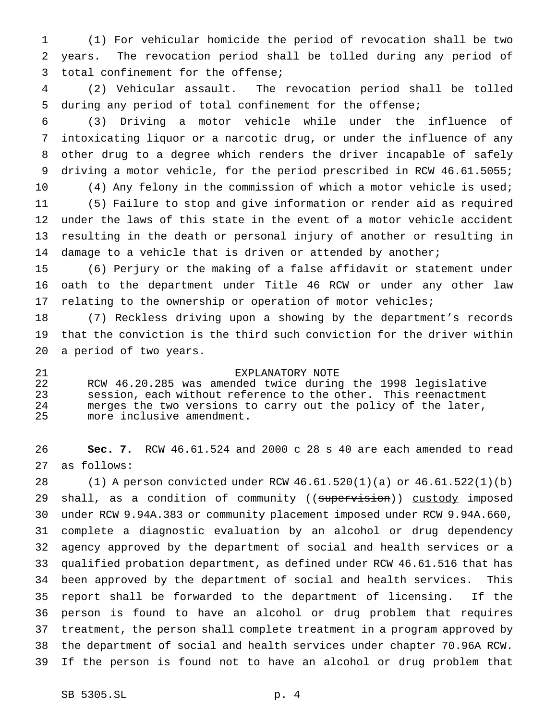(1) For vehicular homicide the period of revocation shall be two years. The revocation period shall be tolled during any period of total confinement for the offense;

 (2) Vehicular assault. The revocation period shall be tolled during any period of total confinement for the offense;

 (3) Driving a motor vehicle while under the influence of intoxicating liquor or a narcotic drug, or under the influence of any other drug to a degree which renders the driver incapable of safely driving a motor vehicle, for the period prescribed in RCW 46.61.5055; 10 (4) Any felony in the commission of which a motor vehicle is used; (5) Failure to stop and give information or render aid as required under the laws of this state in the event of a motor vehicle accident resulting in the death or personal injury of another or resulting in 14 damage to a vehicle that is driven or attended by another;

 (6) Perjury or the making of a false affidavit or statement under oath to the department under Title 46 RCW or under any other law relating to the ownership or operation of motor vehicles;

 (7) Reckless driving upon a showing by the department's records that the conviction is the third such conviction for the driver within a period of two years.

 EXPLANATORY NOTE RCW 46.20.285 was amended twice during the 1998 legislative session, each without reference to the other. This reenactment merges the two versions to carry out the policy of the later, more inclusive amendment.

 **Sec. 7.** RCW 46.61.524 and 2000 c 28 s 40 are each amended to read as follows:

 (1) A person convicted under RCW 46.61.520(1)(a) or 46.61.522(1)(b) 29 shall, as a condition of community ((supervision)) custody imposed under RCW 9.94A.383 or community placement imposed under RCW 9.94A.660, complete a diagnostic evaluation by an alcohol or drug dependency agency approved by the department of social and health services or a qualified probation department, as defined under RCW 46.61.516 that has been approved by the department of social and health services. This report shall be forwarded to the department of licensing. If the person is found to have an alcohol or drug problem that requires treatment, the person shall complete treatment in a program approved by the department of social and health services under chapter 70.96A RCW. If the person is found not to have an alcohol or drug problem that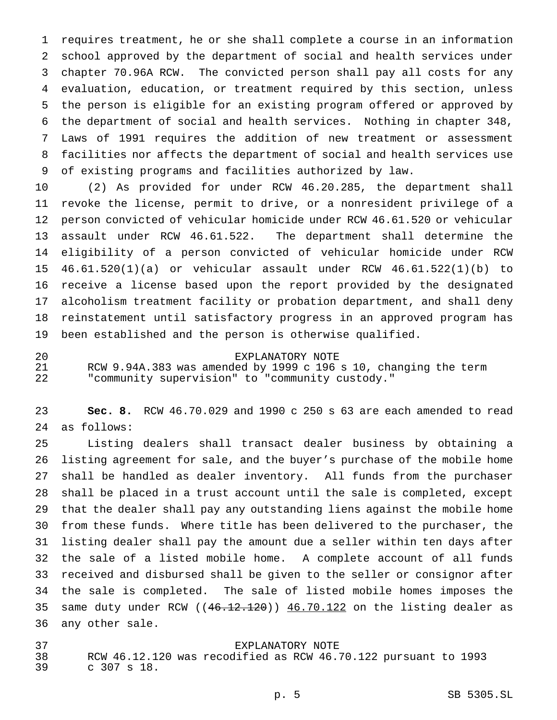requires treatment, he or she shall complete a course in an information school approved by the department of social and health services under chapter 70.96A RCW. The convicted person shall pay all costs for any evaluation, education, or treatment required by this section, unless the person is eligible for an existing program offered or approved by the department of social and health services. Nothing in chapter 348, Laws of 1991 requires the addition of new treatment or assessment facilities nor affects the department of social and health services use of existing programs and facilities authorized by law.

 (2) As provided for under RCW 46.20.285, the department shall revoke the license, permit to drive, or a nonresident privilege of a person convicted of vehicular homicide under RCW 46.61.520 or vehicular assault under RCW 46.61.522. The department shall determine the eligibility of a person convicted of vehicular homicide under RCW 46.61.520(1)(a) or vehicular assault under RCW 46.61.522(1)(b) to receive a license based upon the report provided by the designated alcoholism treatment facility or probation department, and shall deny reinstatement until satisfactory progress in an approved program has been established and the person is otherwise qualified.

# EXPLANATORY NOTE

 RCW 9.94A.383 was amended by 1999 c 196 s 10, changing the term "community supervision" to "community custody."

 **Sec. 8.** RCW 46.70.029 and 1990 c 250 s 63 are each amended to read as follows:

 Listing dealers shall transact dealer business by obtaining a listing agreement for sale, and the buyer's purchase of the mobile home shall be handled as dealer inventory. All funds from the purchaser shall be placed in a trust account until the sale is completed, except that the dealer shall pay any outstanding liens against the mobile home from these funds. Where title has been delivered to the purchaser, the listing dealer shall pay the amount due a seller within ten days after the sale of a listed mobile home. A complete account of all funds received and disbursed shall be given to the seller or consignor after the sale is completed. The sale of listed mobile homes imposes the 35 same duty under RCW  $((46.12.120))$   $46.70.122$  on the listing dealer as any other sale.

 EXPLANATORY NOTE RCW 46.12.120 was recodified as RCW 46.70.122 pursuant to 1993 c 307 s 18.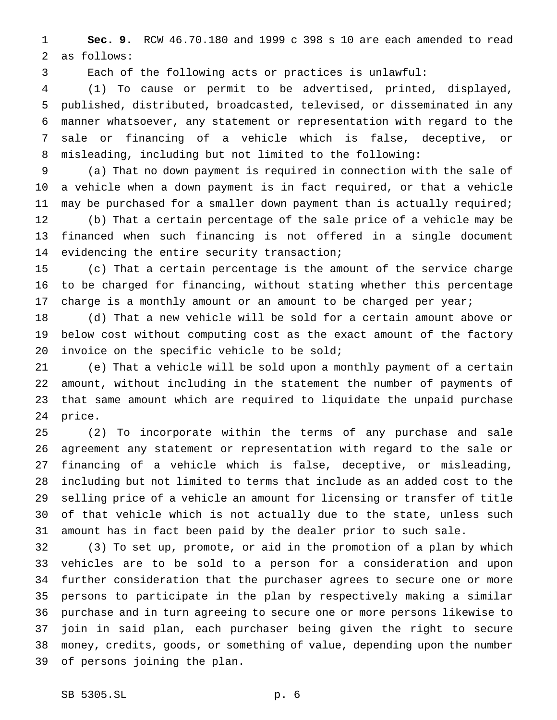**Sec. 9.** RCW 46.70.180 and 1999 c 398 s 10 are each amended to read as follows:

Each of the following acts or practices is unlawful:

 (1) To cause or permit to be advertised, printed, displayed, published, distributed, broadcasted, televised, or disseminated in any manner whatsoever, any statement or representation with regard to the sale or financing of a vehicle which is false, deceptive, or misleading, including but not limited to the following:

 (a) That no down payment is required in connection with the sale of a vehicle when a down payment is in fact required, or that a vehicle may be purchased for a smaller down payment than is actually required; (b) That a certain percentage of the sale price of a vehicle may be financed when such financing is not offered in a single document evidencing the entire security transaction;

 (c) That a certain percentage is the amount of the service charge to be charged for financing, without stating whether this percentage 17 charge is a monthly amount or an amount to be charged per year;

 (d) That a new vehicle will be sold for a certain amount above or below cost without computing cost as the exact amount of the factory 20 invoice on the specific vehicle to be sold;

 (e) That a vehicle will be sold upon a monthly payment of a certain amount, without including in the statement the number of payments of that same amount which are required to liquidate the unpaid purchase price.

 (2) To incorporate within the terms of any purchase and sale agreement any statement or representation with regard to the sale or financing of a vehicle which is false, deceptive, or misleading, including but not limited to terms that include as an added cost to the selling price of a vehicle an amount for licensing or transfer of title of that vehicle which is not actually due to the state, unless such amount has in fact been paid by the dealer prior to such sale.

 (3) To set up, promote, or aid in the promotion of a plan by which vehicles are to be sold to a person for a consideration and upon further consideration that the purchaser agrees to secure one or more persons to participate in the plan by respectively making a similar purchase and in turn agreeing to secure one or more persons likewise to join in said plan, each purchaser being given the right to secure money, credits, goods, or something of value, depending upon the number of persons joining the plan.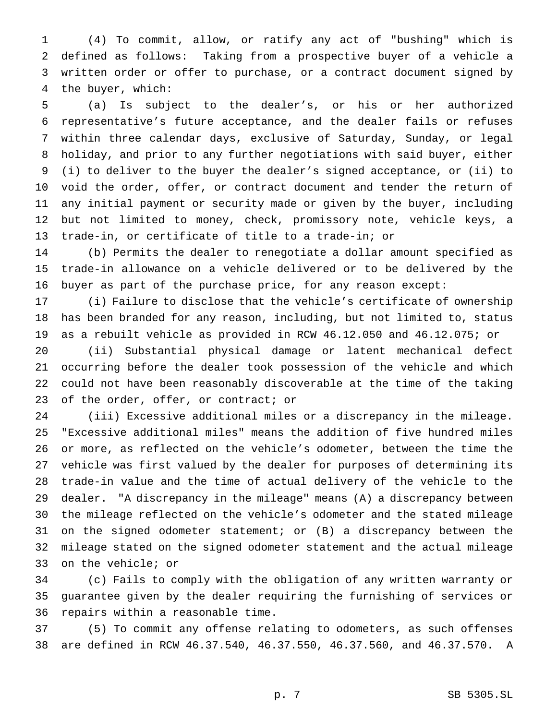(4) To commit, allow, or ratify any act of "bushing" which is defined as follows: Taking from a prospective buyer of a vehicle a written order or offer to purchase, or a contract document signed by the buyer, which:

 (a) Is subject to the dealer's, or his or her authorized representative's future acceptance, and the dealer fails or refuses within three calendar days, exclusive of Saturday, Sunday, or legal holiday, and prior to any further negotiations with said buyer, either (i) to deliver to the buyer the dealer's signed acceptance, or (ii) to void the order, offer, or contract document and tender the return of any initial payment or security made or given by the buyer, including but not limited to money, check, promissory note, vehicle keys, a trade-in, or certificate of title to a trade-in; or

 (b) Permits the dealer to renegotiate a dollar amount specified as trade-in allowance on a vehicle delivered or to be delivered by the buyer as part of the purchase price, for any reason except:

 (i) Failure to disclose that the vehicle's certificate of ownership has been branded for any reason, including, but not limited to, status as a rebuilt vehicle as provided in RCW 46.12.050 and 46.12.075; or

 (ii) Substantial physical damage or latent mechanical defect occurring before the dealer took possession of the vehicle and which could not have been reasonably discoverable at the time of the taking 23 of the order, offer, or contract; or

 (iii) Excessive additional miles or a discrepancy in the mileage. "Excessive additional miles" means the addition of five hundred miles or more, as reflected on the vehicle's odometer, between the time the vehicle was first valued by the dealer for purposes of determining its trade-in value and the time of actual delivery of the vehicle to the dealer. "A discrepancy in the mileage" means (A) a discrepancy between the mileage reflected on the vehicle's odometer and the stated mileage on the signed odometer statement; or (B) a discrepancy between the mileage stated on the signed odometer statement and the actual mileage on the vehicle; or

 (c) Fails to comply with the obligation of any written warranty or guarantee given by the dealer requiring the furnishing of services or repairs within a reasonable time.

 (5) To commit any offense relating to odometers, as such offenses are defined in RCW 46.37.540, 46.37.550, 46.37.560, and 46.37.570. A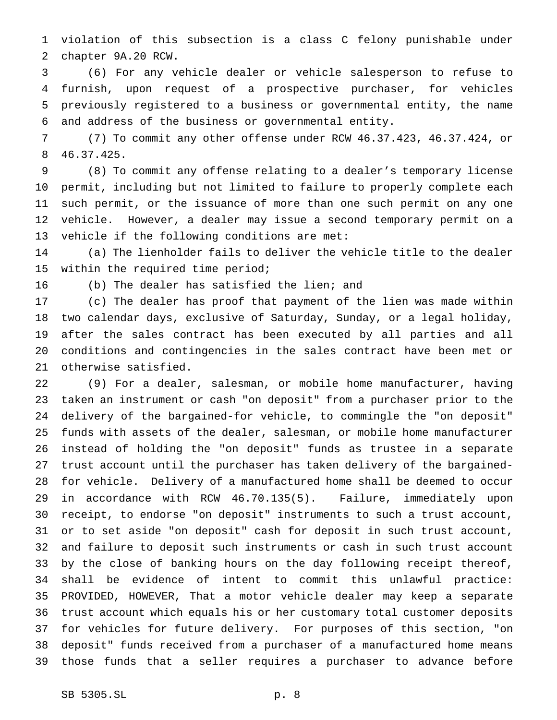violation of this subsection is a class C felony punishable under chapter 9A.20 RCW.

 (6) For any vehicle dealer or vehicle salesperson to refuse to furnish, upon request of a prospective purchaser, for vehicles previously registered to a business or governmental entity, the name and address of the business or governmental entity.

 (7) To commit any other offense under RCW 46.37.423, 46.37.424, or 46.37.425.

 (8) To commit any offense relating to a dealer's temporary license permit, including but not limited to failure to properly complete each such permit, or the issuance of more than one such permit on any one vehicle. However, a dealer may issue a second temporary permit on a vehicle if the following conditions are met:

 (a) The lienholder fails to deliver the vehicle title to the dealer within the required time period;

(b) The dealer has satisfied the lien; and

 (c) The dealer has proof that payment of the lien was made within two calendar days, exclusive of Saturday, Sunday, or a legal holiday, after the sales contract has been executed by all parties and all conditions and contingencies in the sales contract have been met or otherwise satisfied.

 (9) For a dealer, salesman, or mobile home manufacturer, having taken an instrument or cash "on deposit" from a purchaser prior to the delivery of the bargained-for vehicle, to commingle the "on deposit" funds with assets of the dealer, salesman, or mobile home manufacturer instead of holding the "on deposit" funds as trustee in a separate trust account until the purchaser has taken delivery of the bargained- for vehicle. Delivery of a manufactured home shall be deemed to occur in accordance with RCW 46.70.135(5). Failure, immediately upon receipt, to endorse "on deposit" instruments to such a trust account, or to set aside "on deposit" cash for deposit in such trust account, and failure to deposit such instruments or cash in such trust account by the close of banking hours on the day following receipt thereof, shall be evidence of intent to commit this unlawful practice: PROVIDED, HOWEVER, That a motor vehicle dealer may keep a separate trust account which equals his or her customary total customer deposits for vehicles for future delivery. For purposes of this section, "on deposit" funds received from a purchaser of a manufactured home means those funds that a seller requires a purchaser to advance before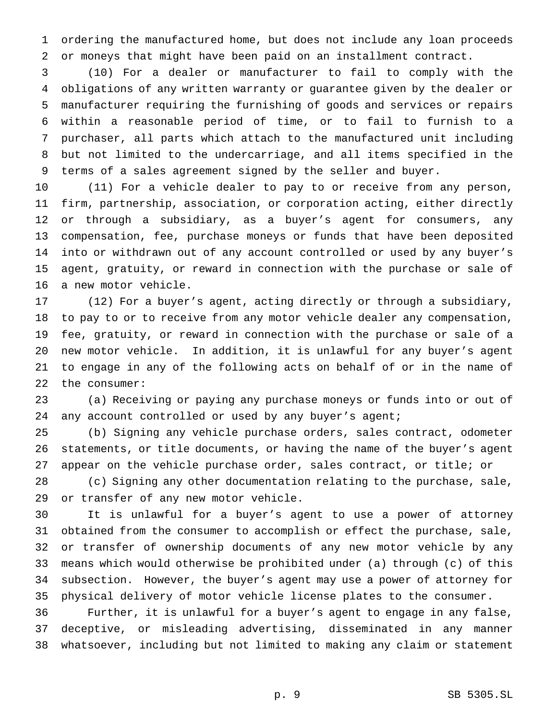ordering the manufactured home, but does not include any loan proceeds or moneys that might have been paid on an installment contract.

 (10) For a dealer or manufacturer to fail to comply with the obligations of any written warranty or guarantee given by the dealer or manufacturer requiring the furnishing of goods and services or repairs within a reasonable period of time, or to fail to furnish to a purchaser, all parts which attach to the manufactured unit including but not limited to the undercarriage, and all items specified in the terms of a sales agreement signed by the seller and buyer.

 (11) For a vehicle dealer to pay to or receive from any person, firm, partnership, association, or corporation acting, either directly or through a subsidiary, as a buyer's agent for consumers, any compensation, fee, purchase moneys or funds that have been deposited into or withdrawn out of any account controlled or used by any buyer's agent, gratuity, or reward in connection with the purchase or sale of a new motor vehicle.

 (12) For a buyer's agent, acting directly or through a subsidiary, to pay to or to receive from any motor vehicle dealer any compensation, fee, gratuity, or reward in connection with the purchase or sale of a new motor vehicle. In addition, it is unlawful for any buyer's agent to engage in any of the following acts on behalf of or in the name of the consumer:

 (a) Receiving or paying any purchase moneys or funds into or out of 24 any account controlled or used by any buyer's agent;

 (b) Signing any vehicle purchase orders, sales contract, odometer statements, or title documents, or having the name of the buyer's agent appear on the vehicle purchase order, sales contract, or title; or

 (c) Signing any other documentation relating to the purchase, sale, or transfer of any new motor vehicle.

 It is unlawful for a buyer's agent to use a power of attorney obtained from the consumer to accomplish or effect the purchase, sale, or transfer of ownership documents of any new motor vehicle by any means which would otherwise be prohibited under (a) through (c) of this subsection. However, the buyer's agent may use a power of attorney for physical delivery of motor vehicle license plates to the consumer.

 Further, it is unlawful for a buyer's agent to engage in any false, deceptive, or misleading advertising, disseminated in any manner whatsoever, including but not limited to making any claim or statement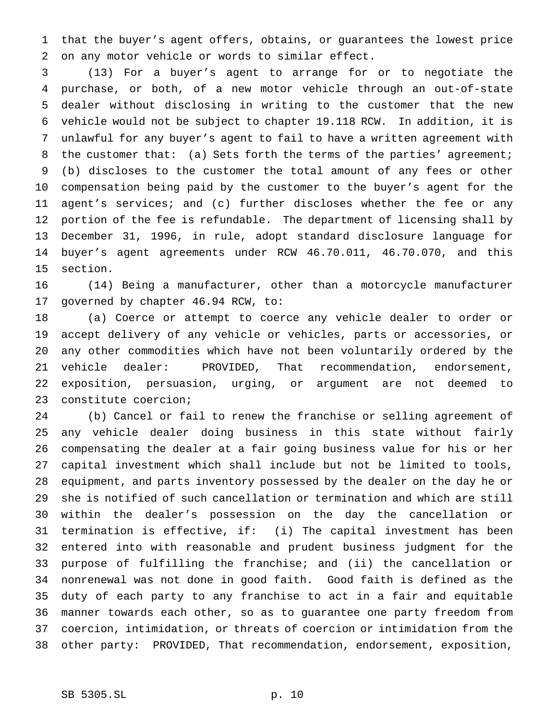that the buyer's agent offers, obtains, or guarantees the lowest price on any motor vehicle or words to similar effect.

 (13) For a buyer's agent to arrange for or to negotiate the purchase, or both, of a new motor vehicle through an out-of-state dealer without disclosing in writing to the customer that the new vehicle would not be subject to chapter 19.118 RCW. In addition, it is unlawful for any buyer's agent to fail to have a written agreement with 8 the customer that: (a) Sets forth the terms of the parties' agreement; (b) discloses to the customer the total amount of any fees or other compensation being paid by the customer to the buyer's agent for the agent's services; and (c) further discloses whether the fee or any portion of the fee is refundable. The department of licensing shall by December 31, 1996, in rule, adopt standard disclosure language for buyer's agent agreements under RCW 46.70.011, 46.70.070, and this section.

 (14) Being a manufacturer, other than a motorcycle manufacturer governed by chapter 46.94 RCW, to:

 (a) Coerce or attempt to coerce any vehicle dealer to order or accept delivery of any vehicle or vehicles, parts or accessories, or any other commodities which have not been voluntarily ordered by the vehicle dealer: PROVIDED, That recommendation, endorsement, exposition, persuasion, urging, or argument are not deemed to constitute coercion;

 (b) Cancel or fail to renew the franchise or selling agreement of any vehicle dealer doing business in this state without fairly compensating the dealer at a fair going business value for his or her capital investment which shall include but not be limited to tools, equipment, and parts inventory possessed by the dealer on the day he or she is notified of such cancellation or termination and which are still within the dealer's possession on the day the cancellation or termination is effective, if: (i) The capital investment has been entered into with reasonable and prudent business judgment for the purpose of fulfilling the franchise; and (ii) the cancellation or nonrenewal was not done in good faith. Good faith is defined as the duty of each party to any franchise to act in a fair and equitable manner towards each other, so as to guarantee one party freedom from coercion, intimidation, or threats of coercion or intimidation from the other party: PROVIDED, That recommendation, endorsement, exposition,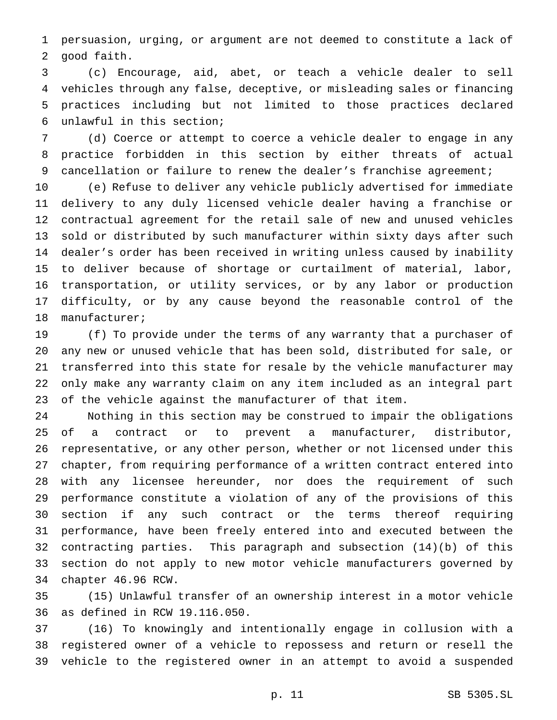persuasion, urging, or argument are not deemed to constitute a lack of good faith.

 (c) Encourage, aid, abet, or teach a vehicle dealer to sell vehicles through any false, deceptive, or misleading sales or financing practices including but not limited to those practices declared unlawful in this section;

 (d) Coerce or attempt to coerce a vehicle dealer to engage in any practice forbidden in this section by either threats of actual 9 cancellation or failure to renew the dealer's franchise agreement;

 (e) Refuse to deliver any vehicle publicly advertised for immediate delivery to any duly licensed vehicle dealer having a franchise or contractual agreement for the retail sale of new and unused vehicles sold or distributed by such manufacturer within sixty days after such dealer's order has been received in writing unless caused by inability to deliver because of shortage or curtailment of material, labor, transportation, or utility services, or by any labor or production difficulty, or by any cause beyond the reasonable control of the manufacturer;

 (f) To provide under the terms of any warranty that a purchaser of any new or unused vehicle that has been sold, distributed for sale, or transferred into this state for resale by the vehicle manufacturer may only make any warranty claim on any item included as an integral part of the vehicle against the manufacturer of that item.

 Nothing in this section may be construed to impair the obligations of a contract or to prevent a manufacturer, distributor, representative, or any other person, whether or not licensed under this chapter, from requiring performance of a written contract entered into with any licensee hereunder, nor does the requirement of such performance constitute a violation of any of the provisions of this section if any such contract or the terms thereof requiring performance, have been freely entered into and executed between the contracting parties. This paragraph and subsection (14)(b) of this section do not apply to new motor vehicle manufacturers governed by chapter 46.96 RCW.

 (15) Unlawful transfer of an ownership interest in a motor vehicle as defined in RCW 19.116.050.

 (16) To knowingly and intentionally engage in collusion with a registered owner of a vehicle to repossess and return or resell the vehicle to the registered owner in an attempt to avoid a suspended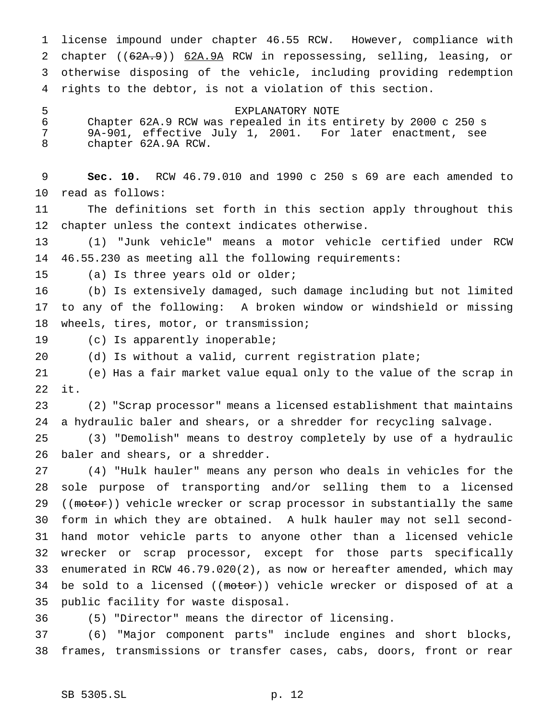license impound under chapter 46.55 RCW. However, compliance with 2 chapter ((62A.9)) 62A.9A RCW in repossessing, selling, leasing, or otherwise disposing of the vehicle, including providing redemption rights to the debtor, is not a violation of this section.

EXPLANATORY NOTE

 Chapter 62A.9 RCW was repealed in its entirety by 2000 c 250 s 9A-901, effective July 1, 2001. For later enactment, see chapter 62A.9A RCW.

 **Sec. 10.** RCW 46.79.010 and 1990 c 250 s 69 are each amended to read as follows:

 The definitions set forth in this section apply throughout this chapter unless the context indicates otherwise.

 (1) "Junk vehicle" means a motor vehicle certified under RCW 46.55.230 as meeting all the following requirements:

(a) Is three years old or older;

 (b) Is extensively damaged, such damage including but not limited to any of the following: A broken window or windshield or missing wheels, tires, motor, or transmission;

(c) Is apparently inoperable;

(d) Is without a valid, current registration plate;

 (e) Has a fair market value equal only to the value of the scrap in it.

 (2) "Scrap processor" means a licensed establishment that maintains a hydraulic baler and shears, or a shredder for recycling salvage.

 (3) "Demolish" means to destroy completely by use of a hydraulic baler and shears, or a shredder.

 (4) "Hulk hauler" means any person who deals in vehicles for the sole purpose of transporting and/or selling them to a licensed 29 ((motor)) vehicle wrecker or scrap processor in substantially the same form in which they are obtained. A hulk hauler may not sell second- hand motor vehicle parts to anyone other than a licensed vehicle wrecker or scrap processor, except for those parts specifically enumerated in RCW 46.79.020(2), as now or hereafter amended, which may 34 be sold to a licensed ((motor)) vehicle wrecker or disposed of at a public facility for waste disposal.

(5) "Director" means the director of licensing.

 (6) "Major component parts" include engines and short blocks, frames, transmissions or transfer cases, cabs, doors, front or rear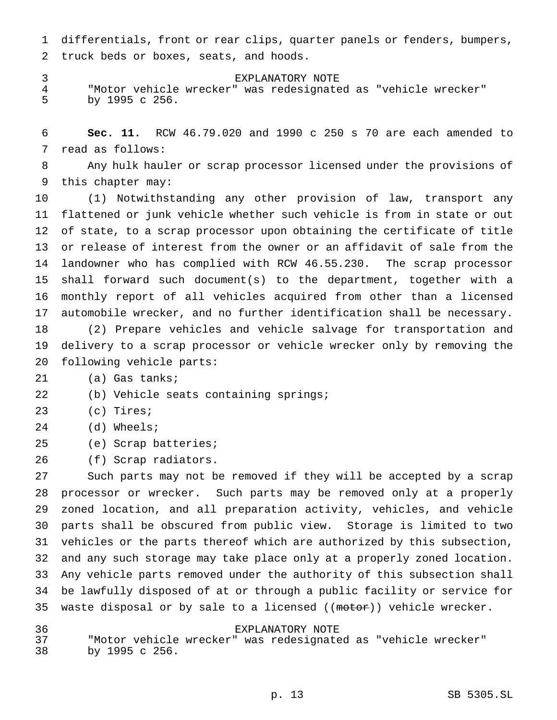differentials, front or rear clips, quarter panels or fenders, bumpers, truck beds or boxes, seats, and hoods.

 EXPLANATORY NOTE "Motor vehicle wrecker" was redesignated as "vehicle wrecker" by 1995 c 256.

 **Sec. 11.** RCW 46.79.020 and 1990 c 250 s 70 are each amended to read as follows:

 Any hulk hauler or scrap processor licensed under the provisions of this chapter may:

 (1) Notwithstanding any other provision of law, transport any flattened or junk vehicle whether such vehicle is from in state or out of state, to a scrap processor upon obtaining the certificate of title or release of interest from the owner or an affidavit of sale from the landowner who has complied with RCW 46.55.230. The scrap processor shall forward such document(s) to the department, together with a monthly report of all vehicles acquired from other than a licensed automobile wrecker, and no further identification shall be necessary. (2) Prepare vehicles and vehicle salvage for transportation and delivery to a scrap processor or vehicle wrecker only by removing the

- following vehicle parts:
- (a) Gas tanks;
- (b) Vehicle seats containing springs;
- (c) Tires;
- (d) Wheels;
- (e) Scrap batteries;

(f) Scrap radiators.

 Such parts may not be removed if they will be accepted by a scrap processor or wrecker. Such parts may be removed only at a properly zoned location, and all preparation activity, vehicles, and vehicle parts shall be obscured from public view. Storage is limited to two vehicles or the parts thereof which are authorized by this subsection, and any such storage may take place only at a properly zoned location. Any vehicle parts removed under the authority of this subsection shall be lawfully disposed of at or through a public facility or service for 35 waste disposal or by sale to a licensed ((motor)) vehicle wrecker.

 EXPLANATORY NOTE "Motor vehicle wrecker" was redesignated as "vehicle wrecker" by 1995 c 256.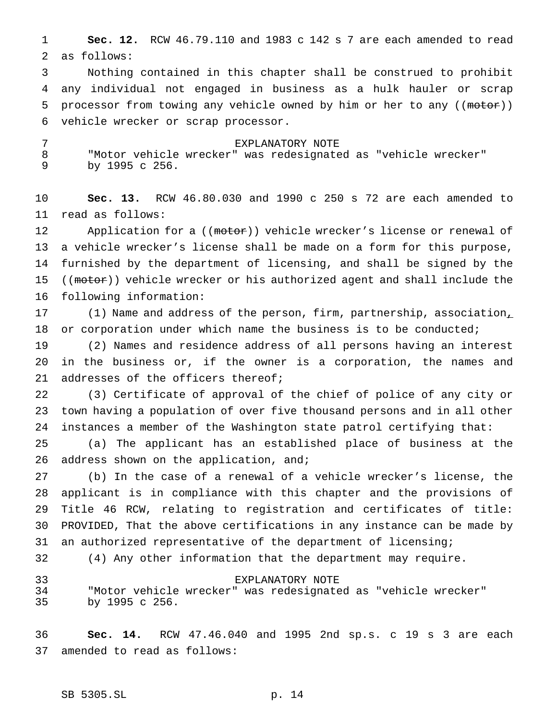**Sec. 12.** RCW 46.79.110 and 1983 c 142 s 7 are each amended to read as follows:

 Nothing contained in this chapter shall be construed to prohibit any individual not engaged in business as a hulk hauler or scrap 5 processor from towing any vehicle owned by him or her to any ((motor)) vehicle wrecker or scrap processor.

 EXPLANATORY NOTE "Motor vehicle wrecker" was redesignated as "vehicle wrecker" by 1995 c 256.

 **Sec. 13.** RCW 46.80.030 and 1990 c 250 s 72 are each amended to read as follows:

12 Application for a ((motor)) vehicle wrecker's license or renewal of a vehicle wrecker's license shall be made on a form for this purpose, furnished by the department of licensing, and shall be signed by the 15 ((motor)) vehicle wrecker or his authorized agent and shall include the following information:

17 (1) Name and address of the person, firm, partnership, association, 18 or corporation under which name the business is to be conducted;

 (2) Names and residence address of all persons having an interest in the business or, if the owner is a corporation, the names and 21 addresses of the officers thereof;

 (3) Certificate of approval of the chief of police of any city or town having a population of over five thousand persons and in all other instances a member of the Washington state patrol certifying that:

 (a) The applicant has an established place of business at the 26 address shown on the application, and;

 (b) In the case of a renewal of a vehicle wrecker's license, the applicant is in compliance with this chapter and the provisions of Title 46 RCW, relating to registration and certificates of title: PROVIDED, That the above certifications in any instance can be made by an authorized representative of the department of licensing;

(4) Any other information that the department may require.

 EXPLANATORY NOTE "Motor vehicle wrecker" was redesignated as "vehicle wrecker" by 1995 c 256.

 **Sec. 14.** RCW 47.46.040 and 1995 2nd sp.s. c 19 s 3 are each amended to read as follows: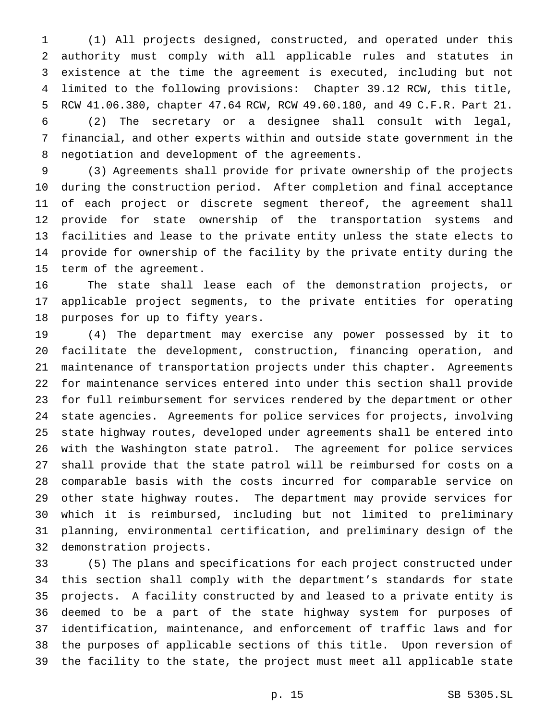(1) All projects designed, constructed, and operated under this authority must comply with all applicable rules and statutes in existence at the time the agreement is executed, including but not limited to the following provisions: Chapter 39.12 RCW, this title, RCW 41.06.380, chapter 47.64 RCW, RCW 49.60.180, and 49 C.F.R. Part 21. (2) The secretary or a designee shall consult with legal,

 financial, and other experts within and outside state government in the negotiation and development of the agreements.

 (3) Agreements shall provide for private ownership of the projects during the construction period. After completion and final acceptance of each project or discrete segment thereof, the agreement shall provide for state ownership of the transportation systems and facilities and lease to the private entity unless the state elects to provide for ownership of the facility by the private entity during the term of the agreement.

 The state shall lease each of the demonstration projects, or applicable project segments, to the private entities for operating purposes for up to fifty years.

 (4) The department may exercise any power possessed by it to facilitate the development, construction, financing operation, and maintenance of transportation projects under this chapter. Agreements for maintenance services entered into under this section shall provide for full reimbursement for services rendered by the department or other state agencies. Agreements for police services for projects, involving state highway routes, developed under agreements shall be entered into with the Washington state patrol. The agreement for police services shall provide that the state patrol will be reimbursed for costs on a comparable basis with the costs incurred for comparable service on other state highway routes. The department may provide services for which it is reimbursed, including but not limited to preliminary planning, environmental certification, and preliminary design of the demonstration projects.

 (5) The plans and specifications for each project constructed under this section shall comply with the department's standards for state projects. A facility constructed by and leased to a private entity is deemed to be a part of the state highway system for purposes of identification, maintenance, and enforcement of traffic laws and for the purposes of applicable sections of this title. Upon reversion of the facility to the state, the project must meet all applicable state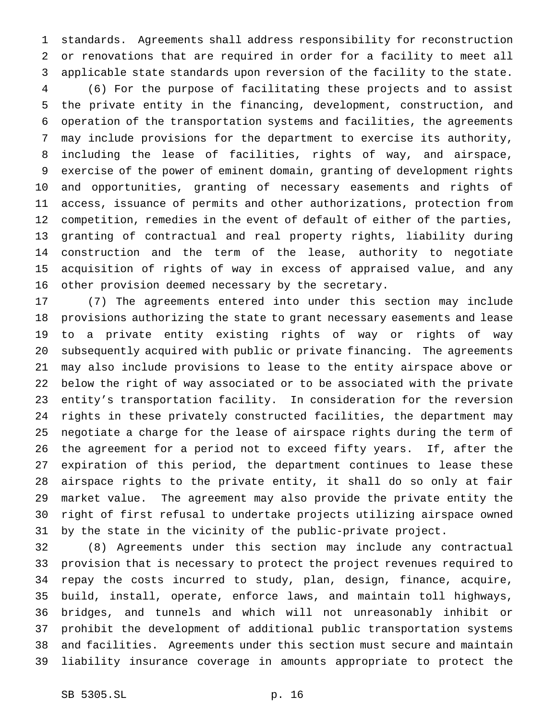standards. Agreements shall address responsibility for reconstruction or renovations that are required in order for a facility to meet all applicable state standards upon reversion of the facility to the state. (6) For the purpose of facilitating these projects and to assist the private entity in the financing, development, construction, and operation of the transportation systems and facilities, the agreements may include provisions for the department to exercise its authority, including the lease of facilities, rights of way, and airspace, exercise of the power of eminent domain, granting of development rights and opportunities, granting of necessary easements and rights of access, issuance of permits and other authorizations, protection from competition, remedies in the event of default of either of the parties, granting of contractual and real property rights, liability during construction and the term of the lease, authority to negotiate acquisition of rights of way in excess of appraised value, and any other provision deemed necessary by the secretary.

 (7) The agreements entered into under this section may include provisions authorizing the state to grant necessary easements and lease to a private entity existing rights of way or rights of way subsequently acquired with public or private financing. The agreements may also include provisions to lease to the entity airspace above or below the right of way associated or to be associated with the private entity's transportation facility. In consideration for the reversion rights in these privately constructed facilities, the department may negotiate a charge for the lease of airspace rights during the term of the agreement for a period not to exceed fifty years. If, after the expiration of this period, the department continues to lease these airspace rights to the private entity, it shall do so only at fair market value. The agreement may also provide the private entity the right of first refusal to undertake projects utilizing airspace owned by the state in the vicinity of the public-private project.

 (8) Agreements under this section may include any contractual provision that is necessary to protect the project revenues required to repay the costs incurred to study, plan, design, finance, acquire, build, install, operate, enforce laws, and maintain toll highways, bridges, and tunnels and which will not unreasonably inhibit or prohibit the development of additional public transportation systems and facilities. Agreements under this section must secure and maintain liability insurance coverage in amounts appropriate to protect the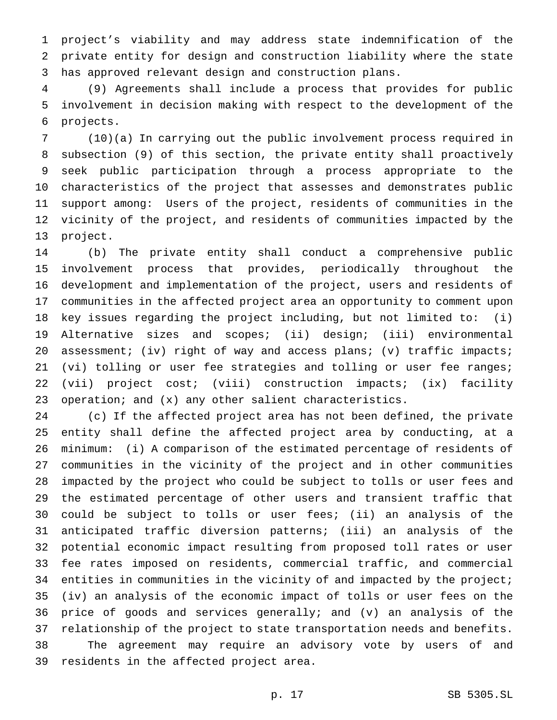project's viability and may address state indemnification of the private entity for design and construction liability where the state has approved relevant design and construction plans.

 (9) Agreements shall include a process that provides for public involvement in decision making with respect to the development of the projects.

 (10)(a) In carrying out the public involvement process required in subsection (9) of this section, the private entity shall proactively seek public participation through a process appropriate to the characteristics of the project that assesses and demonstrates public support among: Users of the project, residents of communities in the vicinity of the project, and residents of communities impacted by the project.

 (b) The private entity shall conduct a comprehensive public involvement process that provides, periodically throughout the development and implementation of the project, users and residents of communities in the affected project area an opportunity to comment upon key issues regarding the project including, but not limited to: (i) Alternative sizes and scopes; (ii) design; (iii) environmental 20 assessment; (iv) right of way and access plans; (v) traffic impacts; (vi) tolling or user fee strategies and tolling or user fee ranges; (vii) project cost; (viii) construction impacts; (ix) facility operation; and (x) any other salient characteristics.

 (c) If the affected project area has not been defined, the private entity shall define the affected project area by conducting, at a minimum: (i) A comparison of the estimated percentage of residents of communities in the vicinity of the project and in other communities impacted by the project who could be subject to tolls or user fees and the estimated percentage of other users and transient traffic that could be subject to tolls or user fees; (ii) an analysis of the anticipated traffic diversion patterns; (iii) an analysis of the potential economic impact resulting from proposed toll rates or user fee rates imposed on residents, commercial traffic, and commercial 34 entities in communities in the vicinity of and impacted by the project; (iv) an analysis of the economic impact of tolls or user fees on the price of goods and services generally; and (v) an analysis of the relationship of the project to state transportation needs and benefits. The agreement may require an advisory vote by users of and residents in the affected project area.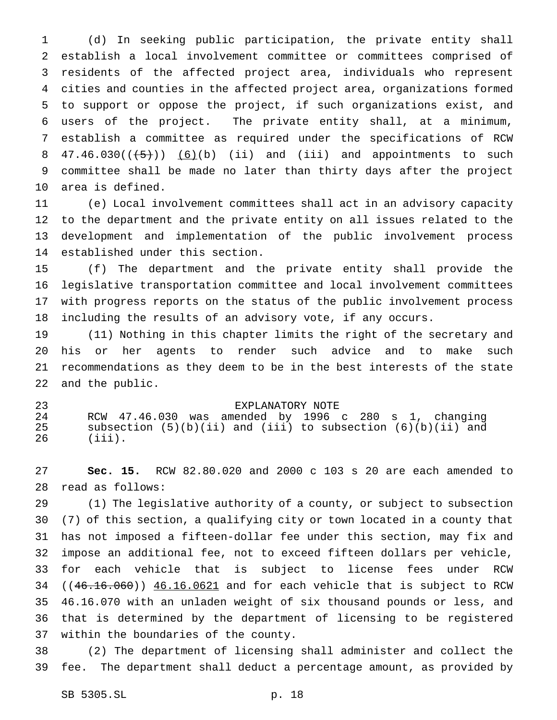(d) In seeking public participation, the private entity shall establish a local involvement committee or committees comprised of residents of the affected project area, individuals who represent cities and counties in the affected project area, organizations formed to support or oppose the project, if such organizations exist, and users of the project. The private entity shall, at a minimum, establish a committee as required under the specifications of RCW  $47.46.030((\leftarrow 5))$   $(6)(b)$  (ii) and (iii) and appointments to such committee shall be made no later than thirty days after the project area is defined.

 (e) Local involvement committees shall act in an advisory capacity to the department and the private entity on all issues related to the development and implementation of the public involvement process established under this section.

 (f) The department and the private entity shall provide the legislative transportation committee and local involvement committees with progress reports on the status of the public involvement process including the results of an advisory vote, if any occurs.

 (11) Nothing in this chapter limits the right of the secretary and his or her agents to render such advice and to make such recommendations as they deem to be in the best interests of the state and the public.

#### EXPLANATORY NOTE

 RCW 47.46.030 was amended by 1996 c 280 s 1, changing subsection (5)(b)(ii) and (iii) to subsection (6)(b)(ii) and (iii).

 **Sec. 15.** RCW 82.80.020 and 2000 c 103 s 20 are each amended to read as follows:

 (1) The legislative authority of a county, or subject to subsection (7) of this section, a qualifying city or town located in a county that has not imposed a fifteen-dollar fee under this section, may fix and impose an additional fee, not to exceed fifteen dollars per vehicle, for each vehicle that is subject to license fees under RCW ( $(46.16.060)$ )  $46.16.0621$  and for each vehicle that is subject to RCW 46.16.070 with an unladen weight of six thousand pounds or less, and that is determined by the department of licensing to be registered within the boundaries of the county.

 (2) The department of licensing shall administer and collect the fee. The department shall deduct a percentage amount, as provided by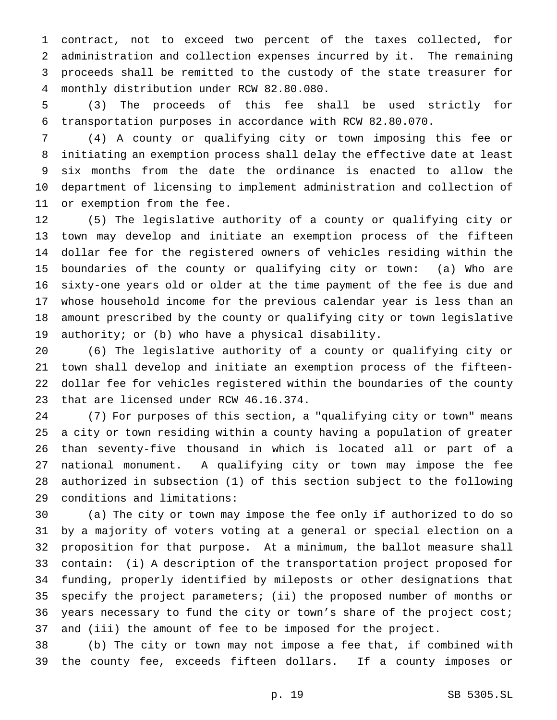contract, not to exceed two percent of the taxes collected, for administration and collection expenses incurred by it. The remaining proceeds shall be remitted to the custody of the state treasurer for monthly distribution under RCW 82.80.080.

 (3) The proceeds of this fee shall be used strictly for transportation purposes in accordance with RCW 82.80.070.

 (4) A county or qualifying city or town imposing this fee or initiating an exemption process shall delay the effective date at least six months from the date the ordinance is enacted to allow the department of licensing to implement administration and collection of or exemption from the fee.

 (5) The legislative authority of a county or qualifying city or town may develop and initiate an exemption process of the fifteen dollar fee for the registered owners of vehicles residing within the boundaries of the county or qualifying city or town: (a) Who are sixty-one years old or older at the time payment of the fee is due and whose household income for the previous calendar year is less than an amount prescribed by the county or qualifying city or town legislative authority; or (b) who have a physical disability.

 (6) The legislative authority of a county or qualifying city or town shall develop and initiate an exemption process of the fifteen- dollar fee for vehicles registered within the boundaries of the county that are licensed under RCW 46.16.374.

 (7) For purposes of this section, a "qualifying city or town" means a city or town residing within a county having a population of greater than seventy-five thousand in which is located all or part of a national monument. A qualifying city or town may impose the fee authorized in subsection (1) of this section subject to the following conditions and limitations:

 (a) The city or town may impose the fee only if authorized to do so by a majority of voters voting at a general or special election on a proposition for that purpose. At a minimum, the ballot measure shall contain: (i) A description of the transportation project proposed for funding, properly identified by mileposts or other designations that specify the project parameters; (ii) the proposed number of months or years necessary to fund the city or town's share of the project cost; and (iii) the amount of fee to be imposed for the project.

 (b) The city or town may not impose a fee that, if combined with the county fee, exceeds fifteen dollars. If a county imposes or